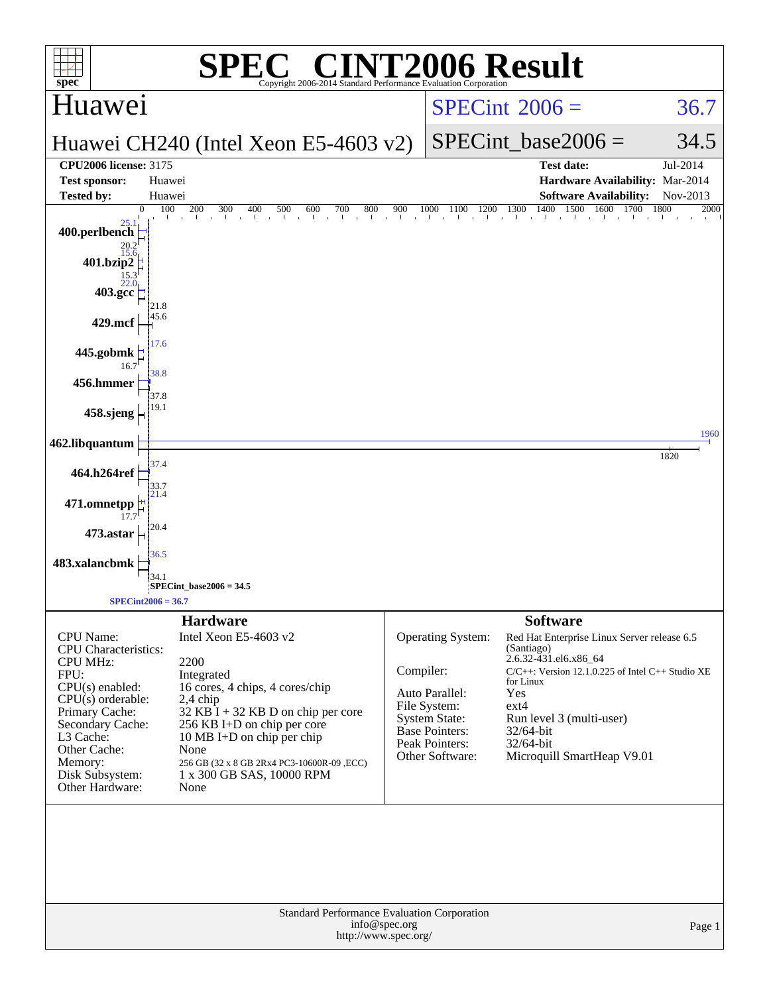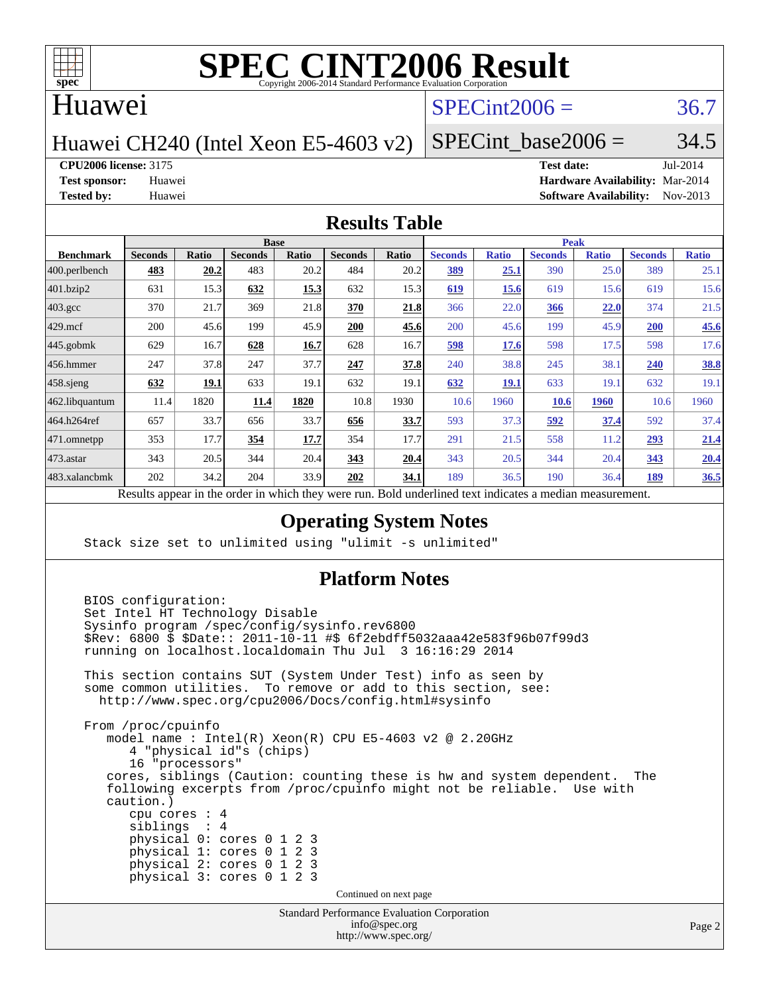

## Huawei

# $SPECint2006 = 36.7$  $SPECint2006 = 36.7$

Huawei CH240 (Intel Xeon E5-4603 v2)

SPECint base2006 =  $34.5$ 

**[CPU2006 license:](http://www.spec.org/auto/cpu2006/Docs/result-fields.html#CPU2006license)** 3175 **[Test date:](http://www.spec.org/auto/cpu2006/Docs/result-fields.html#Testdate)** Jul-2014

**[Test sponsor:](http://www.spec.org/auto/cpu2006/Docs/result-fields.html#Testsponsor)** Huawei **[Hardware Availability:](http://www.spec.org/auto/cpu2006/Docs/result-fields.html#HardwareAvailability)** Mar-2014 **[Tested by:](http://www.spec.org/auto/cpu2006/Docs/result-fields.html#Testedby)** Huawei **[Software Availability:](http://www.spec.org/auto/cpu2006/Docs/result-fields.html#SoftwareAvailability)** Nov-2013

### **[Results Table](http://www.spec.org/auto/cpu2006/Docs/result-fields.html#ResultsTable)**

|                                                                                                          | <b>Base</b>    |       |                |       |                | <b>Peak</b> |                |              |                |              |                |              |
|----------------------------------------------------------------------------------------------------------|----------------|-------|----------------|-------|----------------|-------------|----------------|--------------|----------------|--------------|----------------|--------------|
| <b>Benchmark</b>                                                                                         | <b>Seconds</b> | Ratio | <b>Seconds</b> | Ratio | <b>Seconds</b> | Ratio       | <b>Seconds</b> | <b>Ratio</b> | <b>Seconds</b> | <b>Ratio</b> | <b>Seconds</b> | <b>Ratio</b> |
| $ 400$ .perlbench                                                                                        | 483            | 20.2  | 483            | 20.2  | 484            | 20.2        | 389            | 25.1         | 390            | 25.0         | 389            | 25.1         |
| 401.bzip2                                                                                                | 631            | 15.3  | 632            | 15.3  | 632            | 15.3        | 619            | 15.6         | 619            | 15.6         | 619            | 15.6         |
| $403.\text{gcc}$                                                                                         | 370            | 21.7  | 369            | 21.8  | 370            | 21.8        | 366            | 22.0         | 366            | 22.0         | 374            | 21.5         |
| $429$ mcf                                                                                                | 200            | 45.6  | 199            | 45.9  | 200            | 45.6        | 200            | 45.6         | 199            | 45.9         | 200            | 45.6         |
| $445$ .gobmk                                                                                             | 629            | 16.7  | 628            | 16.7  | 628            | 16.7        | 598            | 17.6         | 598            | 17.5         | 598            | 17.6         |
| $ 456$ .hmmer                                                                                            | 247            | 37.8  | 247            | 37.7  | 247            | 37.8        | 240            | 38.8         | 245            | 38.          | 240            | 38.8         |
| $458$ .sjeng                                                                                             | 632            | 19.1  | 633            | 19.1  | 632            | 19.1        | 632            | 19.1         | 633            | 19.          | 632            | 19.1         |
| 462.libquantum                                                                                           | 11.4           | 1820  | 11.4           | 1820  | 10.8           | 1930        | 10.6           | 1960         | 10.6           | 1960         | 10.6           | 1960         |
| 464.h264ref                                                                                              | 657            | 33.7  | 656            | 33.7  | 656            | 33.7        | 593            | 37.3         | 592            | 37.4         | 592            | 37.4         |
| 471.omnetpp                                                                                              | 353            | 17.7  | 354            | 17.7  | 354            | 17.7        | 291            | 21.5         | 558            | 11.2         | 293            | 21.4         |
| $473.$ astar                                                                                             | 343            | 20.5  | 344            | 20.4  | 343            | 20.4        | 343            | 20.5         | 344            | 20.4         | 343            | 20.4         |
| 483.xalancbmk                                                                                            | 202            | 34.2  | 204            | 33.9  | 202            | 34.1        | 189            | 36.5         | 190            | 36.4         | 189            | 36.5         |
| Decute conceal in the order in which they were my<br>Dold underlined text indicates a madian measurement |                |       |                |       |                |             |                |              |                |              |                |              |

Results appear in the [order in which they were run.](http://www.spec.org/auto/cpu2006/Docs/result-fields.html#RunOrder) Bold underlined text [indicates a median measurement.](http://www.spec.org/auto/cpu2006/Docs/result-fields.html#Median)

### **[Operating System Notes](http://www.spec.org/auto/cpu2006/Docs/result-fields.html#OperatingSystemNotes)**

Stack size set to unlimited using "ulimit -s unlimited"

### **[Platform Notes](http://www.spec.org/auto/cpu2006/Docs/result-fields.html#PlatformNotes)**

Standard Performance Evaluation Corporation BIOS configuration: Set Intel HT Technology Disable Sysinfo program /spec/config/sysinfo.rev6800 \$Rev: 6800 \$ \$Date:: 2011-10-11 #\$ 6f2ebdff5032aaa42e583f96b07f99d3 running on localhost.localdomain Thu Jul 3 16:16:29 2014 This section contains SUT (System Under Test) info as seen by some common utilities. To remove or add to this section, see: <http://www.spec.org/cpu2006/Docs/config.html#sysinfo> From /proc/cpuinfo model name : Intel(R) Xeon(R) CPU E5-4603 v2 @ 2.20GHz 4 "physical id"s (chips) 16 "processors" cores, siblings (Caution: counting these is hw and system dependent. The following excerpts from /proc/cpuinfo might not be reliable. Use with caution.) cpu cores : 4 siblings : 4 physical 0: cores 0 1 2 3 physical 1: cores 0 1 2 3 physical 2: cores 0 1 2 3 physical 3: cores 0 1 2 3 Continued on next page

[info@spec.org](mailto:info@spec.org) <http://www.spec.org/>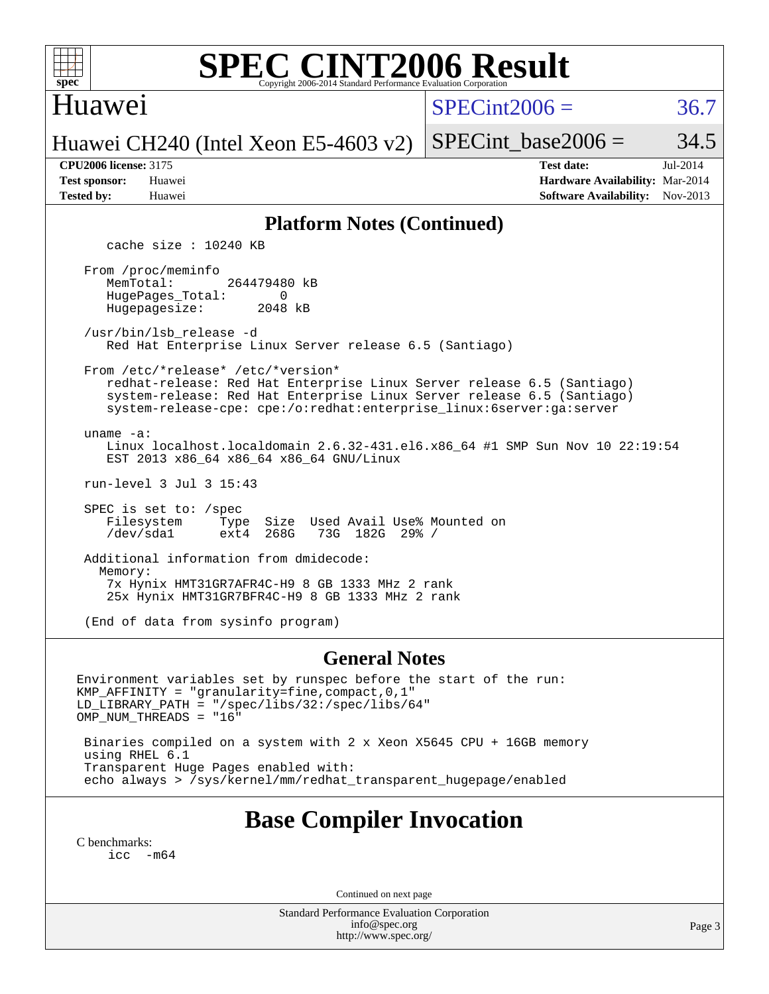

## Huawei

 $SPECint2006 = 36.7$  $SPECint2006 = 36.7$ 

Huawei CH240 (Intel Xeon E5-4603 v2)

SPECint base2006 =  $34.5$ 

| <b>Test sponsor:</b> | Huawei |
|----------------------|--------|
| <b>Tested by:</b>    | Huawei |

**[CPU2006 license:](http://www.spec.org/auto/cpu2006/Docs/result-fields.html#CPU2006license)** 3175 **[Test date:](http://www.spec.org/auto/cpu2006/Docs/result-fields.html#Testdate)** Jul-2014 **[Hardware Availability:](http://www.spec.org/auto/cpu2006/Docs/result-fields.html#HardwareAvailability)** Mar-2014 **[Software Availability:](http://www.spec.org/auto/cpu2006/Docs/result-fields.html#SoftwareAvailability)** Nov-2013

### **[Platform Notes \(Continued\)](http://www.spec.org/auto/cpu2006/Docs/result-fields.html#PlatformNotes)**

cache size : 10240 KB

 From /proc/meminfo MemTotal: 264479480 kB HugePages\_Total: 0<br>Hugepagesize: 2048 kB Hugepagesize:

 /usr/bin/lsb\_release -d Red Hat Enterprise Linux Server release 6.5 (Santiago)

From /etc/\*release\* /etc/\*version\*

 redhat-release: Red Hat Enterprise Linux Server release 6.5 (Santiago) system-release: Red Hat Enterprise Linux Server release 6.5 (Santiago) system-release-cpe: cpe:/o:redhat:enterprise\_linux:6server:ga:server

uname -a:

 Linux localhost.localdomain 2.6.32-431.el6.x86\_64 #1 SMP Sun Nov 10 22:19:54 EST 2013 x86\_64 x86\_64 x86\_64 GNU/Linux

run-level 3 Jul 3 15:43

SPEC is set to: /spec<br>Filesystem Type Type Size Used Avail Use% Mounted on<br>ext4 268G 73G 182G 29% / /dev/sda1 ext4 268G 73G 182G 29% /

 Additional information from dmidecode: Memory: 7x Hynix HMT31GR7AFR4C-H9 8 GB 1333 MHz 2 rank 25x Hynix HMT31GR7BFR4C-H9 8 GB 1333 MHz 2 rank

(End of data from sysinfo program)

### **[General Notes](http://www.spec.org/auto/cpu2006/Docs/result-fields.html#GeneralNotes)**

Environment variables set by runspec before the start of the run: KMP\_AFFINITY = "granularity=fine,compact,0,1" LD\_LIBRARY\_PATH = "/spec/libs/32:/spec/libs/64" OMP\_NUM\_THREADS = "16"

 Binaries compiled on a system with 2 x Xeon X5645 CPU + 16GB memory using RHEL 6.1 Transparent Huge Pages enabled with: echo always > /sys/kernel/mm/redhat\_transparent\_hugepage/enabled

# **[Base Compiler Invocation](http://www.spec.org/auto/cpu2006/Docs/result-fields.html#BaseCompilerInvocation)**

[C benchmarks](http://www.spec.org/auto/cpu2006/Docs/result-fields.html#Cbenchmarks): [icc -m64](http://www.spec.org/cpu2006/results/res2014q3/cpu2006-20140704-30341.flags.html#user_CCbase_intel_icc_64bit_f346026e86af2a669e726fe758c88044)

Continued on next page

Standard Performance Evaluation Corporation [info@spec.org](mailto:info@spec.org) <http://www.spec.org/>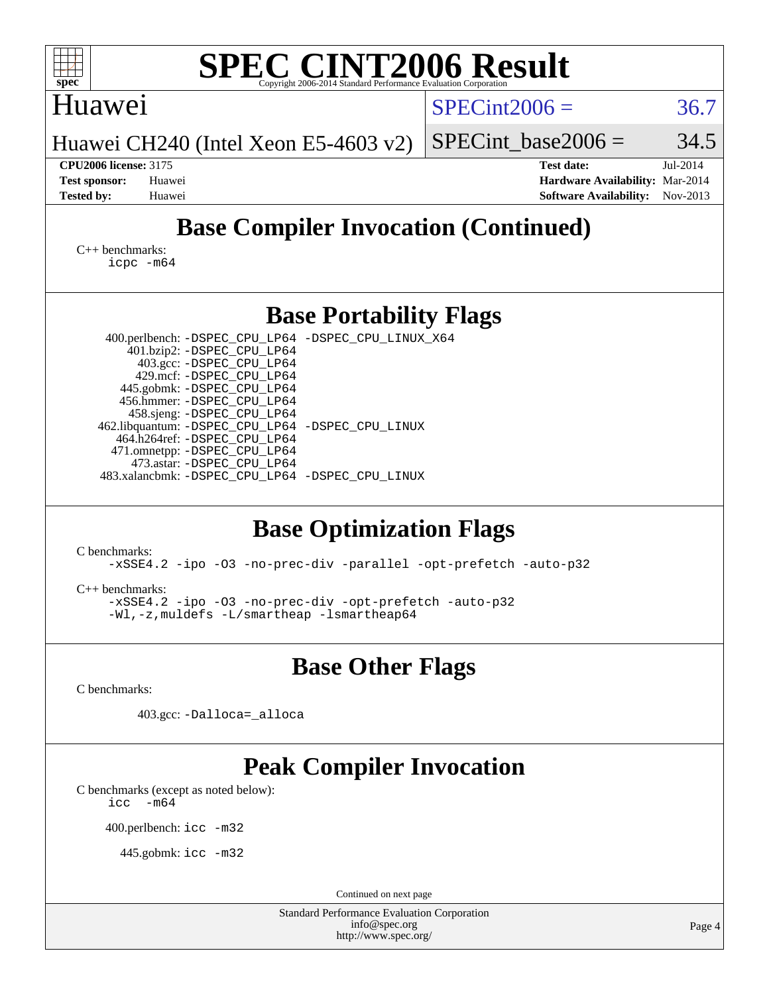| $spec^*$                                                                                                 | <b>SPEC CINT2006 Result</b><br>Copyright 2006-2014 Standard Performance Evaluation Corporation                                                                                                                                                                                                                                                                                                                                           |                         |                                                                  |                                                                                          |
|----------------------------------------------------------------------------------------------------------|------------------------------------------------------------------------------------------------------------------------------------------------------------------------------------------------------------------------------------------------------------------------------------------------------------------------------------------------------------------------------------------------------------------------------------------|-------------------------|------------------------------------------------------------------|------------------------------------------------------------------------------------------|
| Huawei                                                                                                   |                                                                                                                                                                                                                                                                                                                                                                                                                                          |                         | $SPECint2006 =$                                                  | 36.7                                                                                     |
|                                                                                                          | Huawei CH240 (Intel Xeon E5-4603 v2)                                                                                                                                                                                                                                                                                                                                                                                                     |                         | SPECint base2006 $=$                                             | 34.5                                                                                     |
| <b>CPU2006 license: 3175</b><br><b>Test sponsor:</b><br>Huawei<br><b>Tested by:</b><br>Huawei            |                                                                                                                                                                                                                                                                                                                                                                                                                                          |                         | <b>Test date:</b>                                                | Jul-2014<br>Hardware Availability: Mar-2014<br><b>Software Availability:</b><br>Nov-2013 |
|                                                                                                          |                                                                                                                                                                                                                                                                                                                                                                                                                                          |                         | <b>Base Compiler Invocation (Continued)</b>                      |                                                                                          |
| $C_{++}$ benchmarks:<br>$icpc$ $-m64$                                                                    |                                                                                                                                                                                                                                                                                                                                                                                                                                          |                         |                                                                  |                                                                                          |
|                                                                                                          | <b>Base Portability Flags</b>                                                                                                                                                                                                                                                                                                                                                                                                            |                         |                                                                  |                                                                                          |
|                                                                                                          | 400.perlbench: -DSPEC_CPU_LP64 -DSPEC_CPU_LINUX_X64<br>401.bzip2: -DSPEC_CPU_LP64<br>403.gcc: -DSPEC_CPU_LP64<br>429.mcf: -DSPEC_CPU_LP64<br>445.gobmk: -DSPEC_CPU_LP64<br>456.hmmer: -DSPEC_CPU_LP64<br>458.sjeng: -DSPEC_CPU_LP64<br>462.libquantum: -DSPEC_CPU_LP64 -DSPEC_CPU_LINUX<br>464.h264ref: -DSPEC_CPU_LP64<br>471.omnetpp: -DSPEC_CPU_LP64<br>473.astar: -DSPEC_CPU_LP64<br>483.xalancbmk: -DSPEC CPU LP64 -DSPEC CPU LINUX |                         |                                                                  |                                                                                          |
| C benchmarks:<br>$C_{++}$ benchmarks:                                                                    | <b>Base Optimization Flags</b><br>-xSSE4.2 -ipo -03 -no-prec-div -opt-prefetch -auto-p32<br>-Wl,-z,muldets -L/smartheap -lsmartheap64                                                                                                                                                                                                                                                                                                    |                         | -xSSE4.2 -ipo -03 -no-prec-div -parallel -opt-prefetch -auto-p32 |                                                                                          |
|                                                                                                          |                                                                                                                                                                                                                                                                                                                                                                                                                                          | <b>Base Other Flags</b> |                                                                  |                                                                                          |
| C benchmarks:                                                                                            |                                                                                                                                                                                                                                                                                                                                                                                                                                          |                         |                                                                  |                                                                                          |
|                                                                                                          | 403.gcc: -Dalloca=_alloca                                                                                                                                                                                                                                                                                                                                                                                                                |                         |                                                                  |                                                                                          |
| C benchmarks (except as noted below):<br>$-m64$<br>icc<br>400.perlbench: icc -m32<br>445.gobmk: icc -m32 | <b>Peak Compiler Invocation</b>                                                                                                                                                                                                                                                                                                                                                                                                          | Continued on next page  |                                                                  |                                                                                          |
|                                                                                                          | Standard Performance Evaluation Corporation                                                                                                                                                                                                                                                                                                                                                                                              | info@spec.org           |                                                                  |                                                                                          |
|                                                                                                          |                                                                                                                                                                                                                                                                                                                                                                                                                                          | http://www.spec.org/    |                                                                  | Page 4                                                                                   |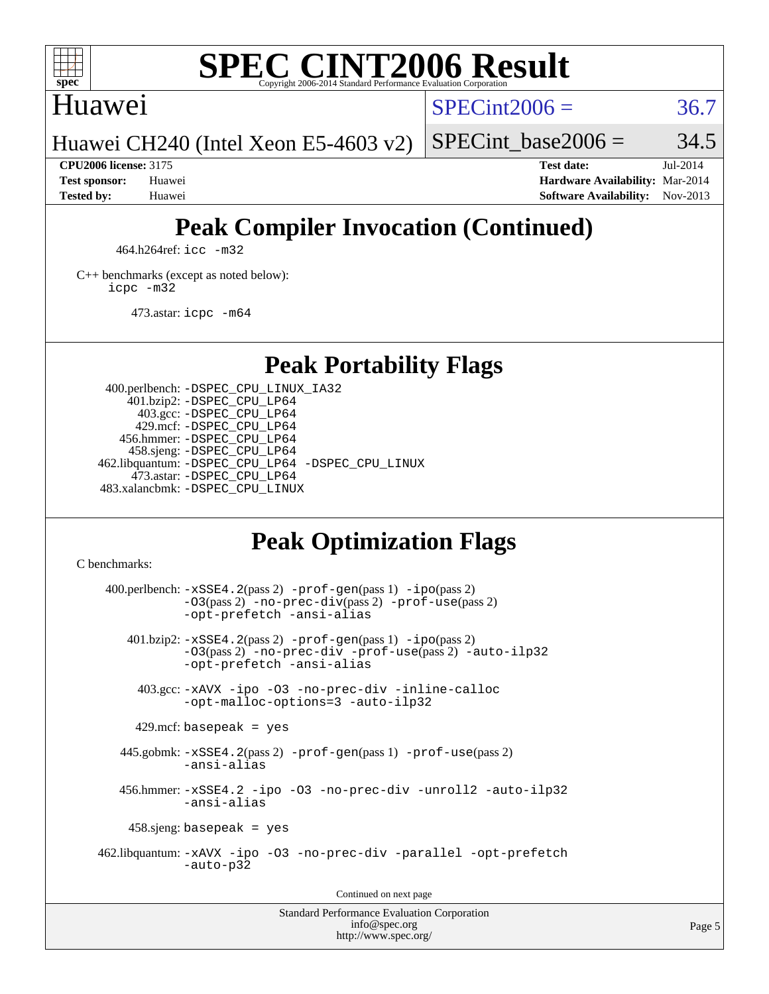

## Huawei

 $SPECint2006 = 36.7$  $SPECint2006 = 36.7$ 

Huawei CH240 (Intel Xeon E5-4603 v2)

SPECint base2006 =  $34.5$ 

**[CPU2006 license:](http://www.spec.org/auto/cpu2006/Docs/result-fields.html#CPU2006license)** 3175 **[Test date:](http://www.spec.org/auto/cpu2006/Docs/result-fields.html#Testdate)** Jul-2014 **[Test sponsor:](http://www.spec.org/auto/cpu2006/Docs/result-fields.html#Testsponsor)** Huawei **[Hardware Availability:](http://www.spec.org/auto/cpu2006/Docs/result-fields.html#HardwareAvailability)** Mar-2014 **[Tested by:](http://www.spec.org/auto/cpu2006/Docs/result-fields.html#Testedby)** Huawei **[Software Availability:](http://www.spec.org/auto/cpu2006/Docs/result-fields.html#SoftwareAvailability)** Nov-2013

# **[Peak Compiler Invocation \(Continued\)](http://www.spec.org/auto/cpu2006/Docs/result-fields.html#PeakCompilerInvocation)**

464.h264ref: [icc -m32](http://www.spec.org/cpu2006/results/res2014q3/cpu2006-20140704-30341.flags.html#user_peakCCLD464_h264ref_intel_icc_a6a621f8d50482236b970c6ac5f55f93)

[C++ benchmarks \(except as noted below\):](http://www.spec.org/auto/cpu2006/Docs/result-fields.html#CXXbenchmarksexceptasnotedbelow) [icpc -m32](http://www.spec.org/cpu2006/results/res2014q3/cpu2006-20140704-30341.flags.html#user_CXXpeak_intel_icpc_4e5a5ef1a53fd332b3c49e69c3330699)

473.astar: [icpc -m64](http://www.spec.org/cpu2006/results/res2014q3/cpu2006-20140704-30341.flags.html#user_peakCXXLD473_astar_intel_icpc_64bit_fc66a5337ce925472a5c54ad6a0de310)

# **[Peak Portability Flags](http://www.spec.org/auto/cpu2006/Docs/result-fields.html#PeakPortabilityFlags)**

 400.perlbench: [-DSPEC\\_CPU\\_LINUX\\_IA32](http://www.spec.org/cpu2006/results/res2014q3/cpu2006-20140704-30341.flags.html#b400.perlbench_peakCPORTABILITY_DSPEC_CPU_LINUX_IA32) 401.bzip2: [-DSPEC\\_CPU\\_LP64](http://www.spec.org/cpu2006/results/res2014q3/cpu2006-20140704-30341.flags.html#suite_peakPORTABILITY401_bzip2_DSPEC_CPU_LP64) 403.gcc: [-DSPEC\\_CPU\\_LP64](http://www.spec.org/cpu2006/results/res2014q3/cpu2006-20140704-30341.flags.html#suite_peakPORTABILITY403_gcc_DSPEC_CPU_LP64) 429.mcf: [-DSPEC\\_CPU\\_LP64](http://www.spec.org/cpu2006/results/res2014q3/cpu2006-20140704-30341.flags.html#suite_peakPORTABILITY429_mcf_DSPEC_CPU_LP64) 456.hmmer: [-DSPEC\\_CPU\\_LP64](http://www.spec.org/cpu2006/results/res2014q3/cpu2006-20140704-30341.flags.html#suite_peakPORTABILITY456_hmmer_DSPEC_CPU_LP64) 458.sjeng: [-DSPEC\\_CPU\\_LP64](http://www.spec.org/cpu2006/results/res2014q3/cpu2006-20140704-30341.flags.html#suite_peakPORTABILITY458_sjeng_DSPEC_CPU_LP64) 462.libquantum: [-DSPEC\\_CPU\\_LP64](http://www.spec.org/cpu2006/results/res2014q3/cpu2006-20140704-30341.flags.html#suite_peakPORTABILITY462_libquantum_DSPEC_CPU_LP64) [-DSPEC\\_CPU\\_LINUX](http://www.spec.org/cpu2006/results/res2014q3/cpu2006-20140704-30341.flags.html#b462.libquantum_peakCPORTABILITY_DSPEC_CPU_LINUX) 473.astar: [-DSPEC\\_CPU\\_LP64](http://www.spec.org/cpu2006/results/res2014q3/cpu2006-20140704-30341.flags.html#suite_peakPORTABILITY473_astar_DSPEC_CPU_LP64) 483.xalancbmk: [-DSPEC\\_CPU\\_LINUX](http://www.spec.org/cpu2006/results/res2014q3/cpu2006-20140704-30341.flags.html#b483.xalancbmk_peakCXXPORTABILITY_DSPEC_CPU_LINUX)

# **[Peak Optimization Flags](http://www.spec.org/auto/cpu2006/Docs/result-fields.html#PeakOptimizationFlags)**

[C benchmarks](http://www.spec.org/auto/cpu2006/Docs/result-fields.html#Cbenchmarks):

 $400.$ perlbench:  $-xSSE4$ .  $2(pass 2)$  -prof-qen(pass 1) [-ipo](http://www.spec.org/cpu2006/results/res2014q3/cpu2006-20140704-30341.flags.html#user_peakPASS2_CFLAGSPASS2_LDCFLAGS400_perlbench_f-ipo)(pass 2) [-O3](http://www.spec.org/cpu2006/results/res2014q3/cpu2006-20140704-30341.flags.html#user_peakPASS2_CFLAGSPASS2_LDCFLAGS400_perlbench_f-O3)(pass 2) [-no-prec-div](http://www.spec.org/cpu2006/results/res2014q3/cpu2006-20140704-30341.flags.html#user_peakPASS2_CFLAGSPASS2_LDCFLAGS400_perlbench_f-no-prec-div)(pass 2) [-prof-use](http://www.spec.org/cpu2006/results/res2014q3/cpu2006-20140704-30341.flags.html#user_peakPASS2_CFLAGSPASS2_LDCFLAGS400_perlbench_prof_use_bccf7792157ff70d64e32fe3e1250b55)(pass 2) [-opt-prefetch](http://www.spec.org/cpu2006/results/res2014q3/cpu2006-20140704-30341.flags.html#user_peakCOPTIMIZE400_perlbench_f-opt-prefetch) [-ansi-alias](http://www.spec.org/cpu2006/results/res2014q3/cpu2006-20140704-30341.flags.html#user_peakCOPTIMIZE400_perlbench_f-ansi-alias) 401.bzip2: [-xSSE4.2](http://www.spec.org/cpu2006/results/res2014q3/cpu2006-20140704-30341.flags.html#user_peakPASS2_CFLAGSPASS2_LDCFLAGS401_bzip2_f-xSSE42_f91528193cf0b216347adb8b939d4107)(pass 2) [-prof-gen](http://www.spec.org/cpu2006/results/res2014q3/cpu2006-20140704-30341.flags.html#user_peakPASS1_CFLAGSPASS1_LDCFLAGS401_bzip2_prof_gen_e43856698f6ca7b7e442dfd80e94a8fc)(pass 1) [-ipo](http://www.spec.org/cpu2006/results/res2014q3/cpu2006-20140704-30341.flags.html#user_peakPASS2_CFLAGSPASS2_LDCFLAGS401_bzip2_f-ipo)(pass 2) [-O3](http://www.spec.org/cpu2006/results/res2014q3/cpu2006-20140704-30341.flags.html#user_peakPASS2_CFLAGSPASS2_LDCFLAGS401_bzip2_f-O3)(pass 2) [-no-prec-div](http://www.spec.org/cpu2006/results/res2014q3/cpu2006-20140704-30341.flags.html#user_peakCOPTIMIZEPASS2_CFLAGSPASS2_LDCFLAGS401_bzip2_f-no-prec-div) [-prof-use](http://www.spec.org/cpu2006/results/res2014q3/cpu2006-20140704-30341.flags.html#user_peakPASS2_CFLAGSPASS2_LDCFLAGS401_bzip2_prof_use_bccf7792157ff70d64e32fe3e1250b55)(pass 2) [-auto-ilp32](http://www.spec.org/cpu2006/results/res2014q3/cpu2006-20140704-30341.flags.html#user_peakCOPTIMIZE401_bzip2_f-auto-ilp32) [-opt-prefetch](http://www.spec.org/cpu2006/results/res2014q3/cpu2006-20140704-30341.flags.html#user_peakCOPTIMIZE401_bzip2_f-opt-prefetch) [-ansi-alias](http://www.spec.org/cpu2006/results/res2014q3/cpu2006-20140704-30341.flags.html#user_peakCOPTIMIZE401_bzip2_f-ansi-alias) 403.gcc: [-xAVX](http://www.spec.org/cpu2006/results/res2014q3/cpu2006-20140704-30341.flags.html#user_peakCOPTIMIZE403_gcc_f-xAVX) [-ipo](http://www.spec.org/cpu2006/results/res2014q3/cpu2006-20140704-30341.flags.html#user_peakCOPTIMIZE403_gcc_f-ipo) [-O3](http://www.spec.org/cpu2006/results/res2014q3/cpu2006-20140704-30341.flags.html#user_peakCOPTIMIZE403_gcc_f-O3) [-no-prec-div](http://www.spec.org/cpu2006/results/res2014q3/cpu2006-20140704-30341.flags.html#user_peakCOPTIMIZE403_gcc_f-no-prec-div) [-inline-calloc](http://www.spec.org/cpu2006/results/res2014q3/cpu2006-20140704-30341.flags.html#user_peakCOPTIMIZE403_gcc_f-inline-calloc) [-opt-malloc-options=3](http://www.spec.org/cpu2006/results/res2014q3/cpu2006-20140704-30341.flags.html#user_peakCOPTIMIZE403_gcc_f-opt-malloc-options_13ab9b803cf986b4ee62f0a5998c2238) [-auto-ilp32](http://www.spec.org/cpu2006/results/res2014q3/cpu2006-20140704-30341.flags.html#user_peakCOPTIMIZE403_gcc_f-auto-ilp32)  $429$ .mcf: basepeak = yes 445.gobmk: [-xSSE4.2](http://www.spec.org/cpu2006/results/res2014q3/cpu2006-20140704-30341.flags.html#user_peakPASS2_CFLAGSPASS2_LDCFLAGS445_gobmk_f-xSSE42_f91528193cf0b216347adb8b939d4107)(pass 2) [-prof-gen](http://www.spec.org/cpu2006/results/res2014q3/cpu2006-20140704-30341.flags.html#user_peakPASS1_CFLAGSPASS1_LDCFLAGS445_gobmk_prof_gen_e43856698f6ca7b7e442dfd80e94a8fc)(pass 1) [-prof-use](http://www.spec.org/cpu2006/results/res2014q3/cpu2006-20140704-30341.flags.html#user_peakPASS2_CFLAGSPASS2_LDCFLAGS445_gobmk_prof_use_bccf7792157ff70d64e32fe3e1250b55)(pass 2) [-ansi-alias](http://www.spec.org/cpu2006/results/res2014q3/cpu2006-20140704-30341.flags.html#user_peakCOPTIMIZE445_gobmk_f-ansi-alias) 456.hmmer: [-xSSE4.2](http://www.spec.org/cpu2006/results/res2014q3/cpu2006-20140704-30341.flags.html#user_peakCOPTIMIZE456_hmmer_f-xSSE42_f91528193cf0b216347adb8b939d4107) [-ipo](http://www.spec.org/cpu2006/results/res2014q3/cpu2006-20140704-30341.flags.html#user_peakCOPTIMIZE456_hmmer_f-ipo) [-O3](http://www.spec.org/cpu2006/results/res2014q3/cpu2006-20140704-30341.flags.html#user_peakCOPTIMIZE456_hmmer_f-O3) [-no-prec-div](http://www.spec.org/cpu2006/results/res2014q3/cpu2006-20140704-30341.flags.html#user_peakCOPTIMIZE456_hmmer_f-no-prec-div) [-unroll2](http://www.spec.org/cpu2006/results/res2014q3/cpu2006-20140704-30341.flags.html#user_peakCOPTIMIZE456_hmmer_f-unroll_784dae83bebfb236979b41d2422d7ec2) [-auto-ilp32](http://www.spec.org/cpu2006/results/res2014q3/cpu2006-20140704-30341.flags.html#user_peakCOPTIMIZE456_hmmer_f-auto-ilp32) [-ansi-alias](http://www.spec.org/cpu2006/results/res2014q3/cpu2006-20140704-30341.flags.html#user_peakCOPTIMIZE456_hmmer_f-ansi-alias) 458.sjeng: basepeak = yes 462.libquantum: [-xAVX](http://www.spec.org/cpu2006/results/res2014q3/cpu2006-20140704-30341.flags.html#user_peakCOPTIMIZE462_libquantum_f-xAVX) [-ipo](http://www.spec.org/cpu2006/results/res2014q3/cpu2006-20140704-30341.flags.html#user_peakCOPTIMIZE462_libquantum_f-ipo) [-O3](http://www.spec.org/cpu2006/results/res2014q3/cpu2006-20140704-30341.flags.html#user_peakCOPTIMIZE462_libquantum_f-O3) [-no-prec-div](http://www.spec.org/cpu2006/results/res2014q3/cpu2006-20140704-30341.flags.html#user_peakCOPTIMIZE462_libquantum_f-no-prec-div) [-parallel](http://www.spec.org/cpu2006/results/res2014q3/cpu2006-20140704-30341.flags.html#user_peakCOPTIMIZE462_libquantum_f-parallel) [-opt-prefetch](http://www.spec.org/cpu2006/results/res2014q3/cpu2006-20140704-30341.flags.html#user_peakCOPTIMIZE462_libquantum_f-opt-prefetch) [-auto-p32](http://www.spec.org/cpu2006/results/res2014q3/cpu2006-20140704-30341.flags.html#user_peakCOPTIMIZE462_libquantum_f-auto-p32) Continued on next page

Standard Performance Evaluation Corporation [info@spec.org](mailto:info@spec.org) <http://www.spec.org/>